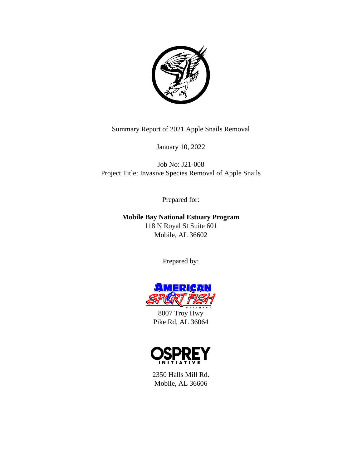

Summary Report of 2021 Apple Snails Removal

January 10, 2022

Job No: J21-008 Project Title: Invasive Species Removal of Apple Snails

Prepared for:

**Mobile Bay National Estuary Program** 118 N Royal St Suite 601 Mobile, AL 36602

Prepared by:



8007 Troy Hwy Pike Rd, AL 36064



2350 Halls Mill Rd. Mobile, AL 36606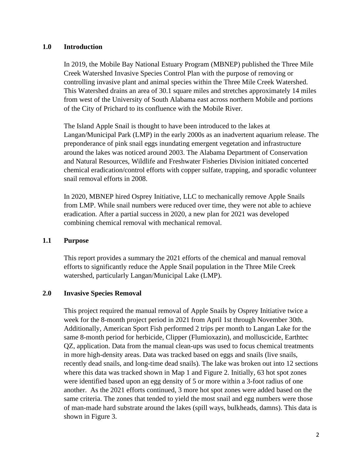### **1.0 Introduction**

In 2019, the Mobile Bay National Estuary Program (MBNEP) published the Three Mile Creek Watershed Invasive Species Control Plan with the purpose of removing or controlling invasive plant and animal species within the Three Mile Creek Watershed. This Watershed drains an area of 30.1 square miles and stretches approximately 14 miles from west of the University of South Alabama east across northern Mobile and portions of the City of Prichard to its confluence with the Mobile River.

The Island Apple Snail is thought to have been introduced to the lakes at Langan/Municipal Park (LMP) in the early 2000s as an inadvertent aquarium release. The preponderance of pink snail eggs inundating emergent vegetation and infrastructure around the lakes was noticed around 2003. The Alabama Department of Conservation and Natural Resources, Wildlife and Freshwater Fisheries Division initiated concerted chemical eradication/control efforts with copper sulfate, trapping, and sporadic volunteer snail removal efforts in 2008.

In 2020, MBNEP hired Osprey Initiative, LLC to mechanically remove Apple Snails from LMP. While snail numbers were reduced over time, they were not able to achieve eradication. After a partial success in 2020, a new plan for 2021 was developed combining chemical removal with mechanical removal.

### **1.1 Purpose**

This report provides a summary the 2021 efforts of the chemical and manual removal efforts to significantly reduce the Apple Snail population in the Three Mile Creek watershed, particularly Langan/Municipal Lake (LMP).

### **2.0 Invasive Species Removal**

This project required the manual removal of Apple Snails by Osprey Initiative twice a week for the 8-month project period in 2021 from April 1st through November 30th. Additionally, American Sport Fish performed 2 trips per month to Langan Lake for the same 8-month period for herbicide, Clipper (Flumioxazin), and molluscicide, Earthtec QZ, application. Data from the manual clean-ups was used to focus chemical treatments in more high-density areas. Data was tracked based on eggs and snails (live snails, recently dead snails, and long-time dead snails). The lake was broken out into 12 sections where this data was tracked shown in Map 1 and Figure 2. Initially, 63 hot spot zones were identified based upon an egg density of 5 or more within a 3-foot radius of one another. As the 2021 efforts continued, 3 more hot spot zones were added based on the same criteria. The zones that tended to yield the most snail and egg numbers were those of man-made hard substrate around the lakes (spill ways, bulkheads, damns). This data is shown in Figure 3.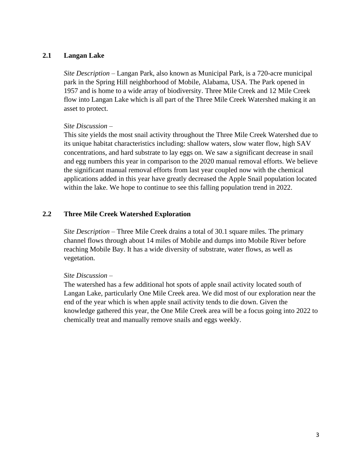## **2.1 Langan Lake**

*Site Description* – Langan Park, also known as Municipal Park, is a 720-acre municipal park in the Spring Hill neighborhood of Mobile, Alabama, USA. The Park opened in 1957 and is home to a wide array of biodiversity. Three Mile Creek and 12 Mile Creek flow into Langan Lake which is all part of the Three Mile Creek Watershed making it an asset to protect.

## *Site Discussion* –

This site yields the most snail activity throughout the Three Mile Creek Watershed due to its unique habitat characteristics including: shallow waters, slow water flow, high SAV concentrations, and hard substrate to lay eggs on. We saw a significant decrease in snail and egg numbers this year in comparison to the 2020 manual removal efforts. We believe the significant manual removal efforts from last year coupled now with the chemical applications added in this year have greatly decreased the Apple Snail population located within the lake. We hope to continue to see this falling population trend in 2022.

# **2.2 Three Mile Creek Watershed Exploration**

*Site Description* – Three Mile Creek drains a total of 30.1 square miles. The primary channel flows through about 14 miles of Mobile and dumps into Mobile River before reaching Mobile Bay. It has a wide diversity of substrate, water flows, as well as vegetation.

### *Site Discussion* –

The watershed has a few additional hot spots of apple snail activity located south of Langan Lake, particularly One Mile Creek area. We did most of our exploration near the end of the year which is when apple snail activity tends to die down. Given the knowledge gathered this year, the One Mile Creek area will be a focus going into 2022 to chemically treat and manually remove snails and eggs weekly.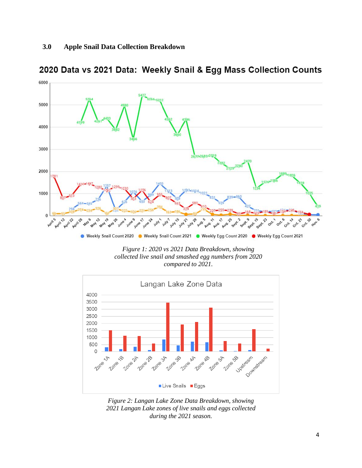

2020 Data vs 2021 Data: Weekly Snail & Egg Mass Collection Counts

*Figure 1: 2020 vs 2021 Data Breakdown, showing collected live snail and smashed egg numbers from 2020 compared to 2021.*



*Figure 2: Langan Lake Zone Data Breakdown, showing 2021 Langan Lake zones of live snails and eggs collected during the 2021 season.*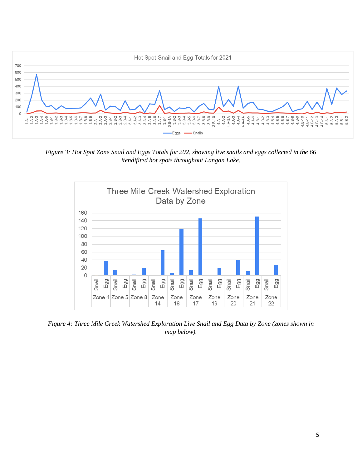

*Figure 3: Hot Spot Zone Snail and Eggs Totals for 202, showing live snails and eggs collected in the 66 itendifited hot spots throughout Langan Lake.* 



*Figure 4: Three Mile Creek Watershed Exploration Live Snail and Egg Data by Zone (zones shown in map below).*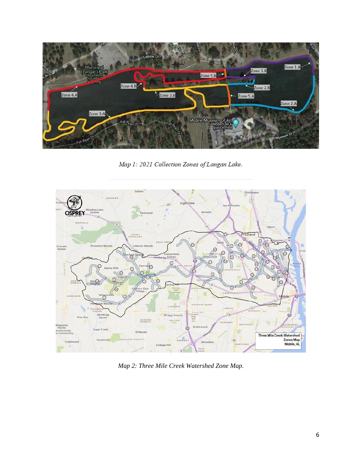

Map 1: 2021 Collection Zones of Langan Lake.



*Map 2: Three Mile Creek Watershed Zone Map.*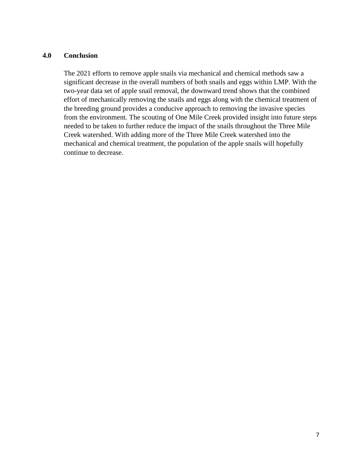### **4.0 Conclusion**

The 2021 efforts to remove apple snails via mechanical and chemical methods saw a significant decrease in the overall numbers of both snails and eggs within LMP. With the two-year data set of apple snail removal, the downward trend shows that the combined effort of mechanically removing the snails and eggs along with the chemical treatment of the breeding ground provides a conducive approach to removing the invasive species from the environment. The scouting of One Mile Creek provided insight into future steps needed to be taken to further reduce the impact of the snails throughout the Three Mile Creek watershed. With adding more of the Three Mile Creek watershed into the mechanical and chemical treatment, the population of the apple snails will hopefully continue to decrease.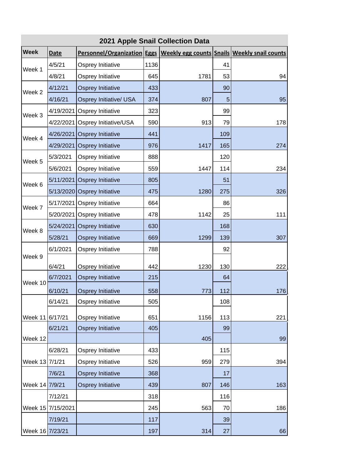| 2021 Apple Snail Collection Data |             |                                                                              |      |      |     |     |  |
|----------------------------------|-------------|------------------------------------------------------------------------------|------|------|-----|-----|--|
| <b>Week</b>                      | <b>Date</b> | Personnel/Organization Eggs   Weekly egg counts Snails   Weekly snail counts |      |      |     |     |  |
| Week 1                           | 4/5/21      | Osprey Initiative                                                            | 1136 |      | 41  |     |  |
|                                  | 4/8/21      | Osprey Initiative                                                            | 645  | 1781 | 53  | 94  |  |
| Week 2                           | 4/12/21     | Osprey Initiative                                                            | 433  |      | 90  |     |  |
|                                  | 4/16/21     | Osprey Initiative/ USA                                                       | 374  | 807  | 5   | 95  |  |
| Week 3                           | 4/19/2021   | Osprey Initiative                                                            | 323  |      | 99  |     |  |
|                                  | 4/22/2021   | Osprey Initiative/USA                                                        | 590  | 913  | 79  | 178 |  |
| Week 4                           |             | 4/26/2021 Osprey Initiative                                                  | 441  |      | 109 |     |  |
|                                  |             | 4/29/2021 Osprey Initiative                                                  | 976  | 1417 | 165 | 274 |  |
| Week 5                           | 5/3/2021    | Osprey Initiative                                                            | 888  |      | 120 |     |  |
|                                  | 5/6/2021    | Osprey Initiative                                                            | 559  | 1447 | 114 | 234 |  |
|                                  |             | 5/11/2021 Osprey Initiative                                                  | 805  |      | 51  |     |  |
| Week 6                           |             | 5/13/2020 Osprey Initiative                                                  | 475  | 1280 | 275 | 326 |  |
|                                  |             | 5/17/2021 Osprey Initiative                                                  | 664  |      | 86  |     |  |
| Week 7                           | 5/20/2021   | Osprey Initiative                                                            | 478  | 1142 | 25  | 111 |  |
| Week 8                           |             | 5/24/2021 Osprey Initiative                                                  | 630  |      | 168 |     |  |
|                                  | 5/28/21     | Osprey Initiative                                                            | 669  | 1299 | 139 | 307 |  |
|                                  | 6/1/2021    | Osprey Initiative                                                            | 788  |      | 92  |     |  |
| Week 9                           | 6/4/21      | Osprey Initiative                                                            | 442  | 1230 | 130 | 222 |  |
|                                  | 6/7/2021    | Osprey Initiative                                                            | 215  |      | 64  |     |  |
| Week 10                          | 6/10/21     |                                                                              | 558  | 773  | 112 | 176 |  |
|                                  | 6/14/21     | <b>Osprey Initiative</b><br>Osprey Initiative                                | 505  |      | 108 |     |  |
|                                  |             |                                                                              |      |      |     |     |  |
| Week 11 6/17/21                  |             | Osprey Initiative                                                            | 651  | 1156 | 113 | 221 |  |
|                                  | 6/21/21     | Osprey Initiative                                                            | 405  |      | 99  |     |  |
| Week 12                          |             |                                                                              |      | 405  |     | 99  |  |
|                                  | 6/28/21     | Osprey Initiative                                                            | 433  |      | 115 |     |  |
| Week 13 7/1/21                   |             | Osprey Initiative                                                            | 526  | 959  | 279 | 394 |  |
|                                  | 7/6/21      | Osprey Initiative                                                            | 368  |      | 17  |     |  |
| Week 14 7/9/21                   |             | Osprey Initiative                                                            | 439  | 807  | 146 | 163 |  |
|                                  | 7/12/21     |                                                                              | 318  |      | 116 |     |  |
| Week 15                          | 7/15/2021   |                                                                              | 245  | 563  | 70  | 186 |  |
|                                  | 7/19/21     |                                                                              | 117  |      | 39  |     |  |
| Week 16 7/23/21                  |             |                                                                              | 197  | 314  | 27  | 66  |  |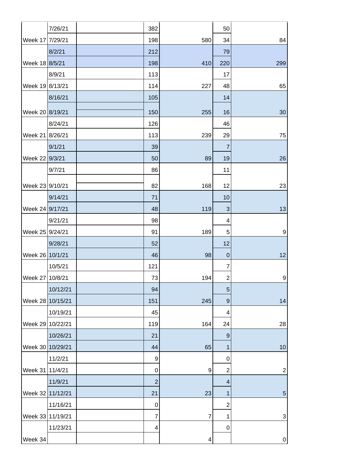|                  | 7/26/21  | 382            |                | 50                        |                           |
|------------------|----------|----------------|----------------|---------------------------|---------------------------|
| Week 17 7/29/21  |          | 198            | 580            | 34                        | 84                        |
|                  | 8/2/21   | 212            |                | 79                        |                           |
| Week 18 8/5/21   |          | 198            | 410            | 220                       | 299                       |
|                  | 8/9/21   | 113            |                | 17                        |                           |
| Week 19 8/13/21  |          | 114            | 227            | 48                        | 65                        |
|                  | 8/16/21  | 105            |                | 14                        |                           |
| Week 20 8/19/21  |          | 150            | 255            | 16                        | 30                        |
|                  | 8/24/21  | 126            |                | 46                        |                           |
| Week 21          | 8/26/21  | 113            | 239            | 29                        | 75                        |
|                  | 9/1/21   | 39             |                | $\overline{7}$            |                           |
| Week 22 9/3/21   |          | 50             | 89             | 19                        | 26                        |
|                  | 9/7/21   | 86             |                | 11                        |                           |
| Week 23 9/10/21  |          | 82             | 168            | 12                        | 23                        |
|                  | 9/14/21  | 71             |                | 10                        |                           |
| Week 24 9/17/21  |          | 48             | 119            | $\ensuremath{\mathsf{3}}$ | 13                        |
|                  | 9/21/21  | 98             |                | $\overline{\mathcal{A}}$  |                           |
| Week 25 9/24/21  |          | 91             | 189            | 5                         | 9                         |
|                  | 9/28/21  | 52             |                | 12                        |                           |
| Week 26 10/1/21  |          | 46             | 98             | $\pmb{0}$                 | 12                        |
|                  | 10/5/21  | 121            |                | 7                         |                           |
| Week 27          | 10/8/21  | 73             | 194            | $\boldsymbol{2}$          | 9                         |
|                  | 10/12/21 | 94             |                | $\sqrt{5}$                |                           |
| Week 28          | 10/15/21 | 151            | 245            | $\boldsymbol{9}$          | 14                        |
|                  | 10/19/21 | 45             |                | 4                         |                           |
| Week 29          | 10/22/21 | 119            | 164            | 24                        | 28                        |
|                  | 10/26/21 | 21             |                | $\boldsymbol{9}$          |                           |
| Week 30 10/29/21 |          | 44             | 65             | 1                         | 10                        |
|                  | 11/2/21  | 9              |                | 0                         |                           |
| Week 31          | 11/4/21  | $\pmb{0}$      | 9              | $\boldsymbol{2}$          | $\overline{c}$            |
|                  | 11/9/21  | $\overline{2}$ |                | 4                         |                           |
| Week 32          | 11/12/21 | 21             | 23             | $\mathbf{1}$              | $\sqrt{5}$                |
|                  | 11/16/21 | 0              |                | $\boldsymbol{2}$          |                           |
| Week 33          | 11/19/21 | 7              | $\overline{7}$ | 1                         | $\ensuremath{\mathsf{3}}$ |
|                  | 11/23/21 | 4              |                | $\mathbf 0$               |                           |
| Week 34          |          |                | 4              |                           | $\pmb{0}$                 |